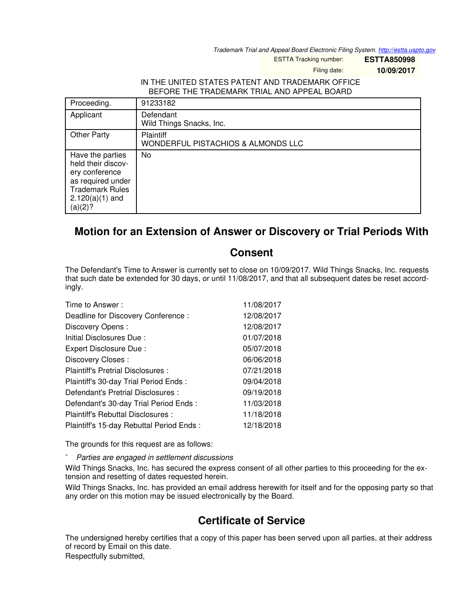*Trademark Trial and Appeal Board Electronic Filing System. <http://estta.uspto.gov>*

ESTTA Tracking number: **ESTTA850998**

Filing date: **10/09/2017**

## IN THE UNITED STATES PATENT AND TRADEMARK OFFICE BEFORE THE TRADEMARK TRIAL AND APPEAL BOARD

| Proceeding.                                                                                                                             | 91233182                                               |
|-----------------------------------------------------------------------------------------------------------------------------------------|--------------------------------------------------------|
| Applicant                                                                                                                               | Defendant<br>Wild Things Snacks, Inc.                  |
| <b>Other Party</b>                                                                                                                      | <b>Plaintiff</b><br>WONDERFUL PISTACHIOS & ALMONDS LLC |
| Have the parties<br>held their discov-<br>ery conference<br>as required under<br><b>Trademark Rules</b><br>$2.120(a)(1)$ and<br>(a)(2)? | No                                                     |

## **Motion for an Extension of Answer or Discovery or Trial Periods With**

## **Consent**

The Defendant's Time to Answer is currently set to close on 10/09/2017. Wild Things Snacks, Inc. requests that such date be extended for 30 days, or until 11/08/2017, and that all subsequent dates be reset accordingly.

| Time to Answer:                          | 11/08/2017 |
|------------------------------------------|------------|
| Deadline for Discovery Conference:       | 12/08/2017 |
| Discovery Opens:                         | 12/08/2017 |
| Initial Disclosures Due:                 | 01/07/2018 |
| Expert Disclosure Due:                   | 05/07/2018 |
| Discovery Closes:                        | 06/06/2018 |
| Plaintiff's Pretrial Disclosures :       | 07/21/2018 |
| Plaintiff's 30-day Trial Period Ends:    | 09/04/2018 |
| Defendant's Pretrial Disclosures :       | 09/19/2018 |
| Defendant's 30-day Trial Period Ends :   | 11/03/2018 |
| Plaintiff's Rebuttal Disclosures:        | 11/18/2018 |
| Plaintiff's 15-day Rebuttal Period Ends: | 12/18/2018 |

The grounds for this request are as follows:

- *Parties are engaged in settlement discussions*

Wild Things Snacks, Inc. has secured the express consent of all other parties to this proceeding for the extension and resetting of dates requested herein.

Wild Things Snacks, Inc. has provided an email address herewith for itself and for the opposing party so that any order on this motion may be issued electronically by the Board.

## **Certificate of Service**

The undersigned hereby certifies that a copy of this paper has been served upon all parties, at their address of record by Email on this date.

Respectfully submitted,